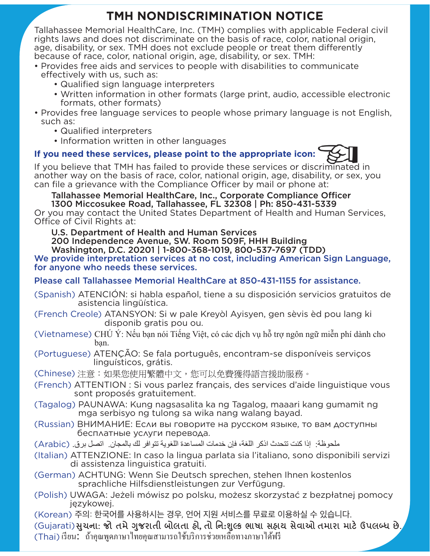# **TMH NONDISCRIMINATION NOTICE**

Tallahassee Memorial HealthCare, Inc. (TMH) complies with applicable Federal civil rights laws and does not discriminate on the basis of race, color, national origin, age, disability, or sex. TMH does not exclude people or treat them differently because of race, color, national origin, age, disability, or sex. TMH:

- Provides free aids and services to people with disabilities to communicate effectively with us, such as:
	- Qualified sign language interpreters
	- Written information in other formats (large print, audio, accessible electronic formats, other formats)
- Provides free language services to people whose primary language is not English, such as:
	- Qualified interpreters
	- Information written in other languages

## **If you need these services, please point to the appropriate icon:**

If you believe that TMH has failed to provide these services or discriminated in another way on the basis of race, color, national origin, age, disability, or sex, you can file a grievance with the Compliance Officer by mail or phone at:

Tallahassee Memorial HealthCare, Inc., Corporate Compliance Officer 1300 Miccosukee Road, Tallahassee, FL 32308 | Ph: 850-431-5339

Or you may contact the United States Department of Health and Human Services, Office of Civil Rights at:

U.S. Department of Health and Human Services

200 Independence Avenue, SW. Room 509F, HHH Building Washington, D.C. 20201 | 1-800-368-1019, 800-537-7697 (TDD)

We provide interpretation services at no cost, including American Sign Language, for anyone who needs these services.

### Please call Tallahassee Memorial HealthCare at 850-431-1155 for assistance.

- (Spanish) ATENCIÓN: si habla español, tiene a su disposición servicios gratuitos de asistencia lingüística.
- (French Creole) ATANSYON: Si w pale Kreyòl Ayisyen, gen sèvis èd pou lang ki disponib gratis pou ou.
- (Vietnamese) CHÚ Ý: Nếu ban nói Tiếng Việt, có các dịch vụ hỗ trợ ngôn ngữ miễn phí dành cho ban.
- (Portuguese) ATENÇÃO: Se fala português, encontram-se disponíveis serviços linguísticos, grátis.

(Chinese) 注意:如果您使用繁體中文,您可以免費獲得語言援助服務。

- (French) ATTENTION : Si vous parlez français, des services d'aide linguistique vous sont proposés gratuitement.
- (Tagalog) PAUNAWA: Kung nagsasalita ka ng Tagalog, maaari kang gumamit ng mga serbisyo ng tulong sa wika nang walang bayad.
- (Russian) ВНИМАНИЕ: Если вы говорите на русском языке, то вам доступны бесплатные услуги перевода.
- ملحوظة: إذا كنت تتحدث اذكر اللغة، فإن خدمات المساعدة اللغوية تتوافر لك بالمجان. اتصل برق. (Arabic)
- (Italian) ATTENZIONE: In caso la lingua parlata sia l'italiano, sono disponibili servizi di assistenza linguistica gratuiti.
- (German) ACHTUNG: Wenn Sie Deutsch sprechen, stehen Ihnen kostenlos sprachliche Hilfsdienstleistungen zur Verfügung.
- (Polish) UWAGA: Jeżeli mówisz po polsku, możesz skorzystać z bezpłatnej pomocy językowej.

(Korean) 주의: 한국어를 사용하시는 경우, 언어 지원 서비스를 무료로 이용하실 수 있습니다.

 $(K_{\alpha})$ (Gujarati)સુચના: જો તમે ગુજરાતી બોલતા હો, તો નિ:શુલ્ક ભાષા સહાય સેવાઓ તમારા માટે ઉપલબ્ધ છે. (Thai) เรียน: ้ ถ้าคุณพูดภาษาไทยคุณสามารถใช้บริการช่วยเหลือทางภาษาได้ฟรี